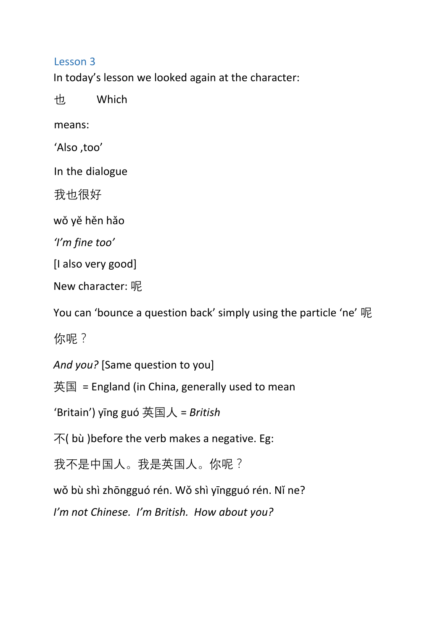## Lesson 3

In today's lesson we looked again at the character:

也 Which

means:

'Also ,too'

In the dialogue

我也很好

wǒ yě hěn hǎo

*'I'm fine too'* 

[I also very good]

New character: 呢

You can 'bounce a question back' simply using the particle 'ne' 呢

你呢?

*And you?* [Same question to you]

英国 = England (in China, generally used to mean

'Britain') yīng guó 英国人 = *British* 

 $\overline{\mathcal{F}}$ ( bù ) before the verb makes a negative. Eg:

我不是中国人。我是英国人。你呢?

wǒ bù shì zhōngguó rén. Wǒ shì yīngguó rén. Nǐ ne?

*I'm not Chinese. I'm British. How about you?*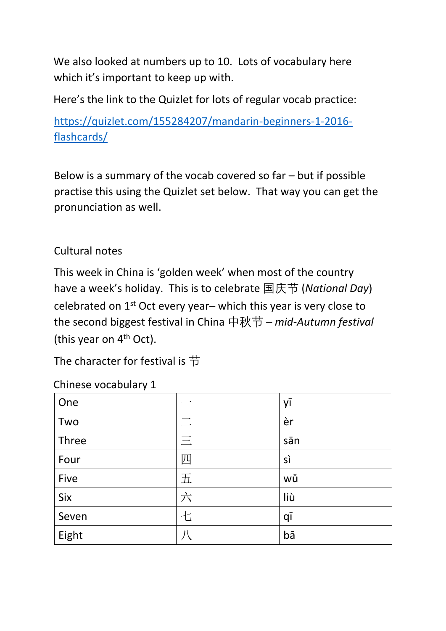We also looked at numbers up to 10. Lots of vocabulary here which it's important to keep up with.

Here's the link to the Quizlet for lots of regular vocab practice:

[https://quizlet.com/155284207/mandarin-beginners-1-2016](https://quizlet.com/155284207/mandarin-beginners-1-2016-flash-cards/) [flashcards/](https://quizlet.com/155284207/mandarin-beginners-1-2016-flash-cards/)

Below is a summary of the vocab covered so far – but if possible practise this using the Quizlet set below. That way you can get the pronunciation as well.

Cultural notes

This week in China is 'golden week' when most of the country have a week's holiday. This is to celebrate 国庆节 (*National Day*) celebrated on 1st Oct every year– which this year is very close to the second biggest festival in China 中秋节 – *mid-Autumn festival* (this year on 4<sup>th</sup> Oct).

The character for festival is 节

| One   |          | yī  |
|-------|----------|-----|
| Two   |          | èr  |
| Three | $\equiv$ | sān |
| Four  | 四        | sì  |
| Five  | 五        | wǔ  |
| Six   | 六        | liù |
| Seven | 十        | qī  |
| Eight |          | bā  |

Chinese vocabulary 1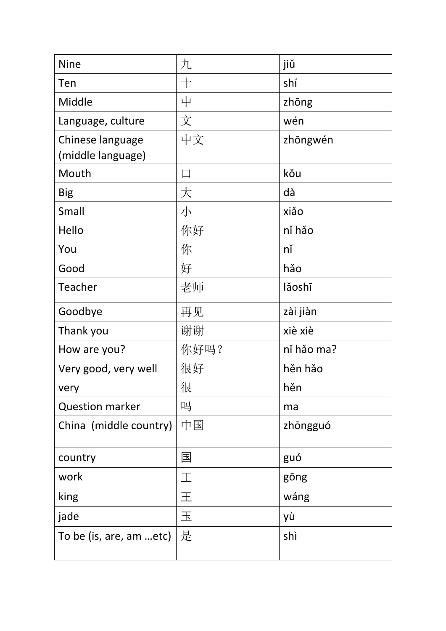| <b>Nine</b>             | 九      | jiǔ        |
|-------------------------|--------|------------|
| Ten                     | $+$    | shí        |
| Middle                  | 中      | zhōng      |
| Language, culture       | 文      | wén        |
| Chinese language        | 中文     | zhōngwén   |
| (middle language)       |        |            |
| Mouth                   | $\Box$ | kǒu        |
| <b>Big</b>              | 大      | dà         |
| Small                   | 小      | xiǎo       |
| Hello                   | 你好     | ní hǎo     |
| You                     | 你      | nĭ         |
| Good                    | 好      | hǎo        |
| Teacher                 | 老师     | lǎoshī     |
| Goodbye                 | 再见     | zài jiàn   |
| Thank you               | 谢谢     | xiè xiè    |
| How are you?            | 你好吗?   | ní hảo ma? |
| Very good, very well    | 很好     | hěn hǎo    |
| very                    | 很      | hěn        |
| <b>Question marker</b>  | 吗      | ma         |
| China (middle country)  | 中国     | zhōngguó   |
| country                 | 国      | guó        |
| work                    | 工      | gōng       |
| king                    | 王      | wáng       |
| jade                    | 玉      | yù         |
| To be (is, are, am etc) | 是      | shì        |